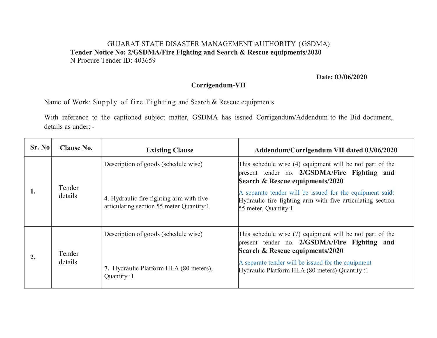## GUJARAT STATE DISASTER MANAGEMENT AUTHORITY (GSDMA) **Tender Notice No: 2/GSDMA/Fire Fighting and Search & Rescue equipments/2020**  N Procure Tender ID: 403659

**Date: 03/06/2020** 

## **Corrigendum-VII**

Name of Work: Supply of fire Fighting and Search & Rescue equipments

With reference to the captioned subject matter, GSDMA has issued Corrigendum/Addendum to the Bid document, details as under: -

| Sr. No | <b>Clause No.</b> | <b>Existing Clause</b>                                                               | Addendum/Corrigendum VII dated 03/06/2020                                                                                                      |
|--------|-------------------|--------------------------------------------------------------------------------------|------------------------------------------------------------------------------------------------------------------------------------------------|
|        | Tender<br>details | Description of goods (schedule wise)                                                 | This schedule wise (4) equipment will be not part of the<br>present tender no. 2/GSDMA/Fire Fighting and<br>Search & Rescue equipments/2020    |
|        |                   | 4. Hydraulic fire fighting arm with five<br>articulating section 55 meter Quantity:1 | A separate tender will be issued for the equipment said:<br>Hydraulic fire fighting arm with five articulating section<br>55 meter, Quantity:1 |
|        | Tender<br>details | Description of goods (schedule wise)                                                 | This schedule wise $(7)$ equipment will be not part of the<br>present tender no. 2/GSDMA/Fire Fighting and<br>Search & Rescue equipments/2020  |
|        |                   | 7. Hydraulic Platform HLA (80 meters),<br>Quantity:1                                 | A separate tender will be issued for the equipment<br>Hydraulic Platform HLA (80 meters) Quantity :1                                           |